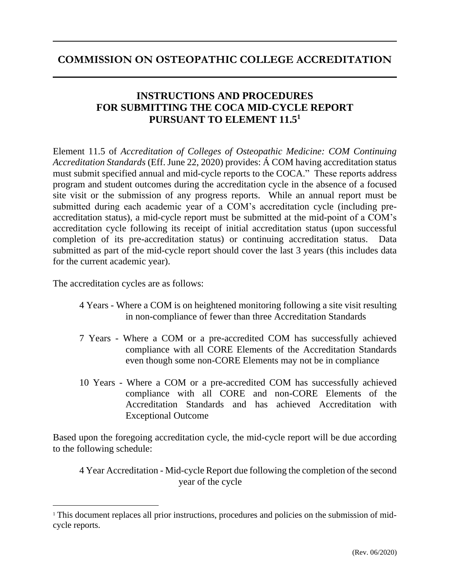## **COMMISSION ON OSTEOPATHIC COLLEGE ACCREDITATION**

### **INSTRUCTIONS AND PROCEDURES FOR SUBMITTING THE COCA MID-CYCLE REPORT PURSUANT TO ELEMENT 11.5<sup>1</sup>**

Element 11.5 of *Accreditation of Colleges of Osteopathic Medicine: COM Continuing Accreditation Standards* (Eff. June 22, 2020) provides: Á COM having accreditation status must submit specified annual and mid-cycle reports to the COCA." These reports address program and student outcomes during the accreditation cycle in the absence of a focused site visit or the submission of any progress reports. While an annual report must be submitted during each academic year of a COM's accreditation cycle (including preaccreditation status), a mid-cycle report must be submitted at the mid-point of a COM's accreditation cycle following its receipt of initial accreditation status (upon successful completion of its pre-accreditation status) or continuing accreditation status. Data submitted as part of the mid-cycle report should cover the last 3 years (this includes data for the current academic year).

The accreditation cycles are as follows:

- 4 Years Where a COM is on heightened monitoring following a site visit resulting in non-compliance of fewer than three Accreditation Standards
- 7 Years Where a COM or a pre-accredited COM has successfully achieved compliance with all CORE Elements of the Accreditation Standards even though some non-CORE Elements may not be in compliance
- 10 Years Where a COM or a pre-accredited COM has successfully achieved compliance with all CORE and non-CORE Elements of the Accreditation Standards and has achieved Accreditation with Exceptional Outcome

Based upon the foregoing accreditation cycle, the mid-cycle report will be due according to the following schedule:

4 Year Accreditation - Mid-cycle Report due following the completion of the second year of the cycle

<sup>&</sup>lt;sup>1</sup> This document replaces all prior instructions, procedures and policies on the submission of midcycle reports.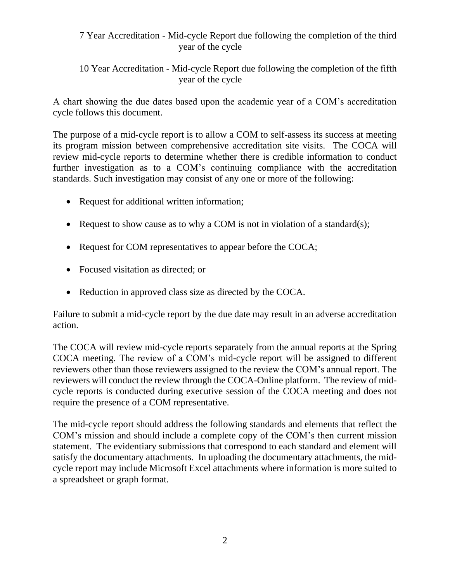#### 7 Year Accreditation - Mid-cycle Report due following the completion of the third year of the cycle

10 Year Accreditation - Mid-cycle Report due following the completion of the fifth year of the cycle

A chart showing the due dates based upon the academic year of a COM's accreditation cycle follows this document.

The purpose of a mid-cycle report is to allow a COM to self-assess its success at meeting its program mission between comprehensive accreditation site visits. The COCA will review mid-cycle reports to determine whether there is credible information to conduct further investigation as to a COM's continuing compliance with the accreditation standards. Such investigation may consist of any one or more of the following:

- Request for additional written information;
- Request to show cause as to why a COM is not in violation of a standard(s);
- Request for COM representatives to appear before the COCA;
- Focused visitation as directed: or
- Reduction in approved class size as directed by the COCA.

Failure to submit a mid-cycle report by the due date may result in an adverse accreditation action.

The COCA will review mid-cycle reports separately from the annual reports at the Spring COCA meeting. The review of a COM's mid-cycle report will be assigned to different reviewers other than those reviewers assigned to the review the COM's annual report. The reviewers will conduct the review through the COCA-Online platform. The review of midcycle reports is conducted during executive session of the COCA meeting and does not require the presence of a COM representative.

The mid-cycle report should address the following standards and elements that reflect the COM's mission and should include a complete copy of the COM's then current mission statement. The evidentiary submissions that correspond to each standard and element will satisfy the documentary attachments. In uploading the documentary attachments, the midcycle report may include Microsoft Excel attachments where information is more suited to a spreadsheet or graph format.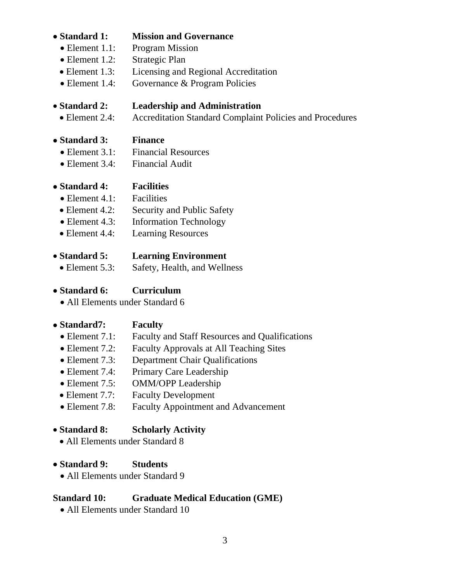#### • **Standard 1: Mission and Governance**

- Element 1.1: Program Mission
- Element 1.2: Strategic Plan
- Element 1.3: Licensing and Regional Accreditation
- Element 1.4: Governance & Program Policies

# • **Standard 2: Leadership and Administration**

• Element 2.4: Accreditation Standard Complaint Policies and Procedures

## • **Standard 3: Finance**

- Element 3.1: Financial Resources
- Element 3.4: Financial Audit

#### • **Standard 4: Facilities**

- Element 4.1: Facilities
- Element 4.2: Security and Public Safety
- Element 4.3: Information Technology
- Element 4.4: Learning Resources

#### • **Standard 5: Learning Environment**

• Element 5.3: Safety, Health, and Wellness

## • **Standard 6: Curriculum**

• All Elements under Standard 6

## • **Standard7: Faculty**

- Element 7.1: Faculty and Staff Resources and Qualifications
- Element 7.2: Faculty Approvals at All Teaching Sites
- Element 7.3: Department Chair Qualifications
- Element 7.4: Primary Care Leadership
- Element 7.5: OMM/OPP Leadership
- Element 7.7: Faculty Development
- Element 7.8: Faculty Appointment and Advancement

## • **Standard 8: Scholarly Activity**

• All Elements under Standard 8

#### • **Standard 9: Students**

• All Elements under Standard 9

## **Standard 10: Graduate Medical Education (GME)**

• All Elements under Standard 10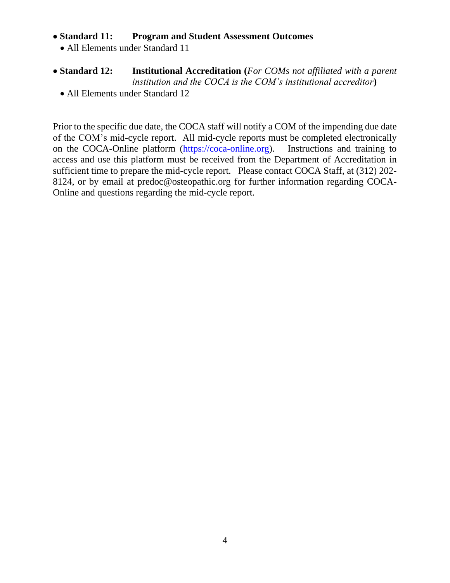#### • **Standard 11: Program and Student Assessment Outcomes**

- All Elements under Standard 11
- **Standard 12: Institutional Accreditation (***For COMs not affiliated with a parent institution and the COCA is the COM's institutional accreditor***)**
	- All Elements under Standard 12

Prior to the specific due date, the COCA staff will notify a COM of the impending due date of the COM's mid-cycle report. All mid-cycle reports must be completed electronically on the COCA-Online platform [\(https://coca-online.org\)](https://coca-online.org/). Instructions and training to access and use this platform must be received from the Department of Accreditation in sufficient time to prepare the mid-cycle report. Please contact COCA Staff, at (312) 202- 8124, or by email at predoc@osteopathic.org for further information regarding COCA-Online and questions regarding the mid-cycle report.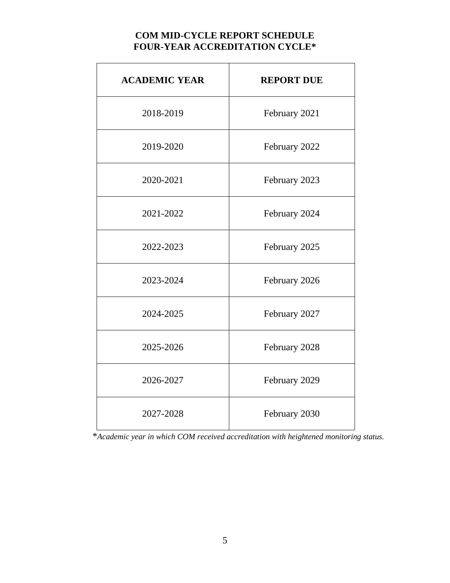## **COM MID-CYCLE REPORT SCHEDULE FOUR-YEAR ACCREDITATION CYCLE\***

| <b>ACADEMIC YEAR</b> | <b>REPORT DUE</b> |
|----------------------|-------------------|
| 2018-2019            | February 2021     |
| 2019-2020            | February 2022     |
| 2020-2021            | February 2023     |
| 2021-2022            | February 2024     |
| 2022-2023            | February 2025     |
| 2023-2024            | February 2026     |
| 2024-2025            | February 2027     |
| 2025-2026            | February 2028     |
| 2026-2027            | February 2029     |
| 2027-2028            | February 2030     |

\**Academic year in which COM received accreditation with heightened monitoring status.*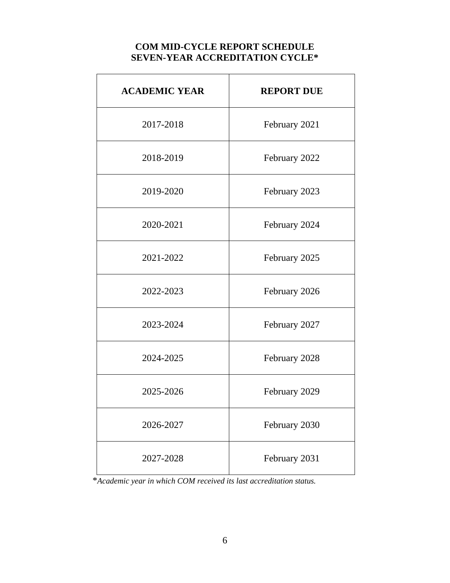#### **COM MID-CYCLE REPORT SCHEDULE SEVEN-YEAR ACCREDITATION CYCLE\***

| <b>ACADEMIC YEAR</b> | <b>REPORT DUE</b> |
|----------------------|-------------------|
| 2017-2018            | February 2021     |
| 2018-2019            | February 2022     |
| 2019-2020            | February 2023     |
| 2020-2021            | February 2024     |
| 2021-2022            | February 2025     |
| 2022-2023            | February 2026     |
| 2023-2024            | February 2027     |
| 2024-2025            | February 2028     |
| 2025-2026            | February 2029     |
| 2026-2027            | February 2030     |
| 2027-2028            | February 2031     |

\**Academic year in which COM received its last accreditation status.*